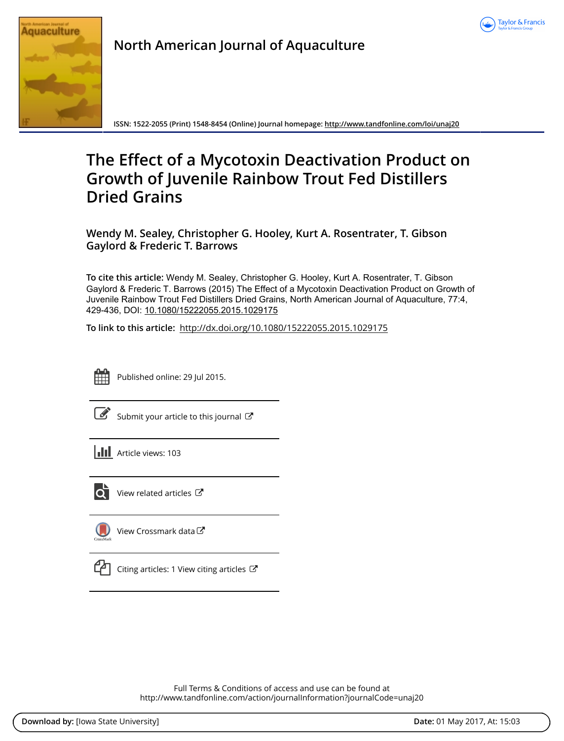



**North American Journal of Aquaculture**

**ISSN: 1522-2055 (Print) 1548-8454 (Online) Journal homepage:<http://www.tandfonline.com/loi/unaj20>**

# **The Effect of a Mycotoxin Deactivation Product on Growth of Juvenile Rainbow Trout Fed Distillers Dried Grains**

**Wendy M. Sealey, Christopher G. Hooley, Kurt A. Rosentrater, T. Gibson Gaylord & Frederic T. Barrows**

**To cite this article:** Wendy M. Sealey, Christopher G. Hooley, Kurt A. Rosentrater, T. Gibson Gaylord & Frederic T. Barrows (2015) The Effect of a Mycotoxin Deactivation Product on Growth of Juvenile Rainbow Trout Fed Distillers Dried Grains, North American Journal of Aquaculture, 77:4, 429-436, DOI: [10.1080/15222055.2015.1029175](http://www.tandfonline.com/action/showCitFormats?doi=10.1080/15222055.2015.1029175)

**To link to this article:** <http://dx.doi.org/10.1080/15222055.2015.1029175>



Published online: 29 Jul 2015.

[Submit your article to this journal](http://www.tandfonline.com/action/authorSubmission?journalCode=unaj20&show=instructions)  $\mathbb{Z}$ 

**Article views: 103** 



 $\overline{Q}$  [View related articles](http://www.tandfonline.com/doi/mlt/10.1080/15222055.2015.1029175)  $\mathbb{Z}$ 

[View Crossmark data](http://crossmark.crossref.org/dialog/?doi=10.1080/15222055.2015.1029175&domain=pdf&date_stamp=2015-07-29)<sup>C</sup>



 $\Box$  [Citing articles: 1 View citing articles](http://www.tandfonline.com/doi/citedby/10.1080/15222055.2015.1029175#tabModule)  $\Box$ 

Full Terms & Conditions of access and use can be found at <http://www.tandfonline.com/action/journalInformation?journalCode=unaj20>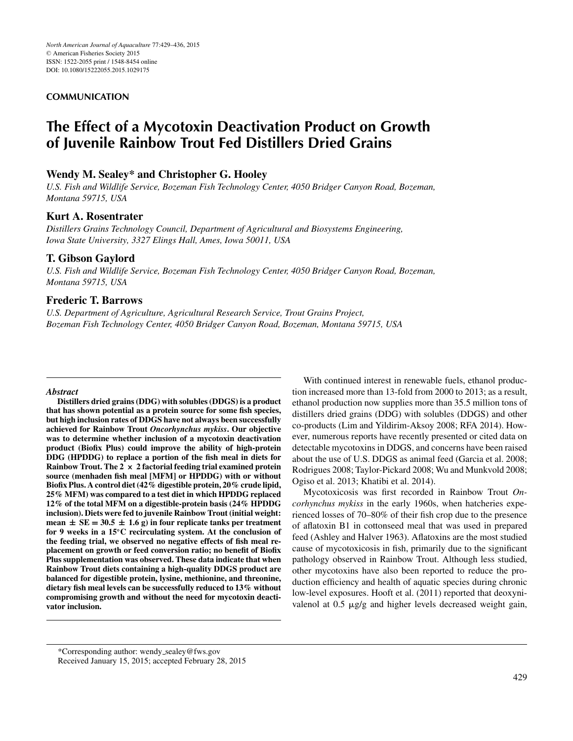*North American Journal of Aquaculture* 77:429–436, 2015  $©$  American Fisheries Society 2015 ISSN: 1522-2055 print / 1548-8454 online DOI: 10.1080/15222055.2015.1029175

### **COMMUNICATION**

# **The Effect of a Mycotoxin Deactivation Product on Growth of Juvenile Rainbow Trout Fed Distillers Dried Grains**

# **Wendy M. Sealey\* and Christopher G. Hooley**

*U.S. Fish and Wildlife Service, Bozeman Fish Technology Center, 4050 Bridger Canyon Road, Bozeman, Montana 59715, USA*

# **Kurt A. Rosentrater**

*Distillers Grains Technology Council, Department of Agricultural and Biosystems Engineering, Iowa State University, 3327 Elings Hall, Ames, Iowa 50011, USA*

# **T. Gibson Gaylord**

*U.S. Fish and Wildlife Service, Bozeman Fish Technology Center, 4050 Bridger Canyon Road, Bozeman, Montana 59715, USA*

# **Frederic T. Barrows**

*U.S. Department of Agriculture, Agricultural Research Service, Trout Grains Project, Bozeman Fish Technology Center, 4050 Bridger Canyon Road, Bozeman, Montana 59715, USA*

#### *Abstract*

**Distillers dried grains (DDG) with solubles (DDGS) is a product that has shown potential as a protein source for some fish species, but high inclusion rates of DDGS have not always been successfully achieved for Rainbow Trout** *Oncorhynchus mykiss***. Our objective was to determine whether inclusion of a mycotoxin deactivation product (Biofix Plus) could improve the ability of high-protein DDG (HPDDG) to replace a portion of the fish meal in diets for Rainbow Trout. The 2 × 2 factorial feeding trial examined protein source (menhaden fish meal [MFM] or HPDDG) with or without Biofix Plus. A control diet (42% digestible protein, 20% crude lipid, 25% MFM) was compared to a test diet in which HPDDG replaced 12% of the total MFM on a digestible-protein basis (24% HPDDG inclusion). Diets were fed to juvenile Rainbow Trout (initial weight: mean**  $\pm$  **SE** = 30.5  $\pm$  1.6 g) in four replicate tanks per treatment **for 9 weeks in a 15◦C recirculating system. At the conclusion of the feeding trial, we observed no negative effects of fish meal replacement on growth or feed conversion ratio; no benefit of Biofix Plus supplementation was observed. These data indicate that when Rainbow Trout diets containing a high-quality DDGS product are balanced for digestible protein, lysine, methionine, and threonine, dietary fish meal levels can be successfully reduced to 13% without compromising growth and without the need for mycotoxin deactivator inclusion.**

With continued interest in renewable fuels, ethanol production increased more than 13-fold from 2000 to 2013; as a result, ethanol production now supplies more than 35.5 million tons of distillers dried grains (DDG) with solubles (DDGS) and other co-products (Lim and Yildirim-Aksoy 2008; RFA 2014). However, numerous reports have recently presented or cited data on detectable mycotoxins in DDGS, and concerns have been raised about the use of U.S. DDGS as animal feed (Garcia et al. 2008; Rodrigues 2008; Taylor-Pickard 2008; Wu and Munkvold 2008; Ogiso et al. 2013; Khatibi et al. 2014).

Mycotoxicosis was first recorded in Rainbow Trout *Oncorhynchus mykiss* in the early 1960s, when hatcheries experienced losses of 70–80% of their fish crop due to the presence of aflatoxin B1 in cottonseed meal that was used in prepared feed (Ashley and Halver 1963). Aflatoxins are the most studied cause of mycotoxicosis in fish, primarily due to the significant pathology observed in Rainbow Trout. Although less studied, other mycotoxins have also been reported to reduce the production efficiency and health of aquatic species during chronic low-level exposures. Hooft et al. (2011) reported that deoxynivalenol at  $0.5 \mu g/g$  and higher levels decreased weight gain,

\*Corresponding author: wendy sealey@fws.gov Received January 15, 2015; accepted February 28, 2015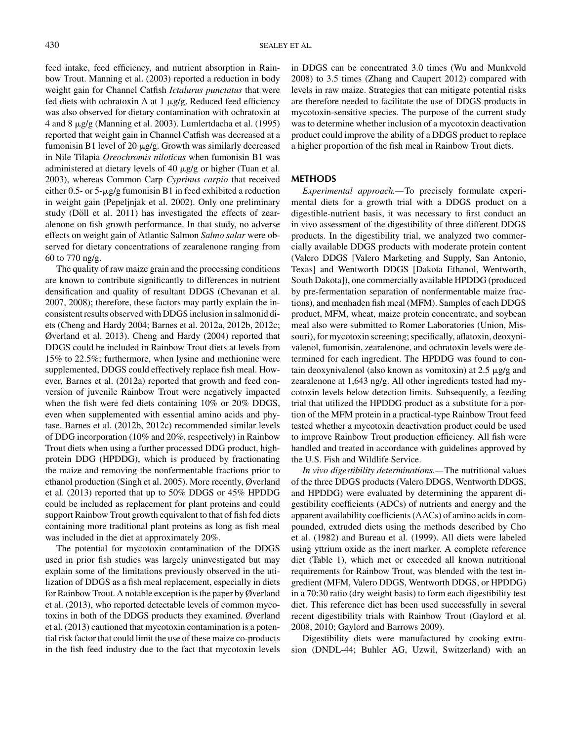feed intake, feed efficiency, and nutrient absorption in Rainbow Trout. Manning et al. (2003) reported a reduction in body weight gain for Channel Catfish *Ictalurus punctatus* that were fed diets with ochratoxin A at  $1 \mu g/g$ . Reduced feed efficiency was also observed for dietary contamination with ochratoxin at  $4$  and  $8 \mu g/g$  (Manning et al. 2003). Lumlertdacha et al. (1995) reported that weight gain in Channel Catfish was decreased at a fumonisin B1 level of 20  $\mu$ g/g. Growth was similarly decreased in Nile Tilapia *Oreochromis niloticus* when fumonisin B1 was administered at dietary levels of 40  $\mu$ g/g or higher (Tuan et al. 2003), whereas Common Carp *Cyprinus carpio* that received either 0.5- or 5- $\mu$ g/g fumonisin B1 in feed exhibited a reduction in weight gain (Pepeljnjak et al. 2002). Only one preliminary study (Döll et al. 2011) has investigated the effects of zearalenone on fish growth performance. In that study, no adverse effects on weight gain of Atlantic Salmon *Salmo salar* were observed for dietary concentrations of zearalenone ranging from 60 to 770 ng/g.

The quality of raw maize grain and the processing conditions are known to contribute significantly to differences in nutrient densification and quality of resultant DDGS (Chevanan et al. 2007, 2008); therefore, these factors may partly explain the inconsistent results observed with DDGS inclusion in salmonid diets (Cheng and Hardy 2004; Barnes et al. 2012a, 2012b, 2012c; Øverland et al. 2013). Cheng and Hardy (2004) reported that DDGS could be included in Rainbow Trout diets at levels from 15% to 22.5%; furthermore, when lysine and methionine were supplemented, DDGS could effectively replace fish meal. However, Barnes et al. (2012a) reported that growth and feed conversion of juvenile Rainbow Trout were negatively impacted when the fish were fed diets containing 10% or 20% DDGS, even when supplemented with essential amino acids and phytase. Barnes et al. (2012b, 2012c) recommended similar levels of DDG incorporation (10% and 20%, respectively) in Rainbow Trout diets when using a further processed DDG product, highprotein DDG (HPDDG), which is produced by fractionating the maize and removing the nonfermentable fractions prior to ethanol production (Singh et al. 2005). More recently, Øverland et al. (2013) reported that up to 50% DDGS or 45% HPDDG could be included as replacement for plant proteins and could support Rainbow Trout growth equivalent to that of fish fed diets containing more traditional plant proteins as long as fish meal was included in the diet at approximately 20%.

The potential for mycotoxin contamination of the DDGS used in prior fish studies was largely uninvestigated but may explain some of the limitations previously observed in the utilization of DDGS as a fish meal replacement, especially in diets for Rainbow Trout. A notable exception is the paper by Øverland et al. (2013), who reported detectable levels of common mycotoxins in both of the DDGS products they examined. Øverland et al. (2013) cautioned that mycotoxin contamination is a potential risk factor that could limit the use of these maize co-products in the fish feed industry due to the fact that mycotoxin levels in DDGS can be concentrated 3.0 times (Wu and Munkvold 2008) to 3.5 times (Zhang and Caupert 2012) compared with levels in raw maize. Strategies that can mitigate potential risks are therefore needed to facilitate the use of DDGS products in mycotoxin-sensitive species. The purpose of the current study was to determine whether inclusion of a mycotoxin deactivation product could improve the ability of a DDGS product to replace a higher proportion of the fish meal in Rainbow Trout diets.

#### **METHODS**

*Experimental approach.—*To precisely formulate experimental diets for a growth trial with a DDGS product on a digestible-nutrient basis, it was necessary to first conduct an in vivo assessment of the digestibility of three different DDGS products. In the digestibility trial, we analyzed two commercially available DDGS products with moderate protein content (Valero DDGS [Valero Marketing and Supply, San Antonio, Texas] and Wentworth DDGS [Dakota Ethanol, Wentworth, South Dakota]), one commercially available HPDDG (produced by pre-fermentation separation of nonfermentable maize fractions), and menhaden fish meal (MFM). Samples of each DDGS product, MFM, wheat, maize protein concentrate, and soybean meal also were submitted to Romer Laboratories (Union, Missouri), for mycotoxin screening; specifically, aflatoxin, deoxynivalenol, fumonisin, zearalenone, and ochratoxin levels were determined for each ingredient. The HPDDG was found to contain deoxynivalenol (also known as vomitoxin) at  $2.5 \mu g/g$  and zearalenone at 1,643 ng/g. All other ingredients tested had mycotoxin levels below detection limits. Subsequently, a feeding trial that utilized the HPDDG product as a substitute for a portion of the MFM protein in a practical-type Rainbow Trout feed tested whether a mycotoxin deactivation product could be used to improve Rainbow Trout production efficiency. All fish were handled and treated in accordance with guidelines approved by the U.S. Fish and Wildlife Service.

*In vivo digestibility determinations.—*The nutritional values of the three DDGS products (Valero DDGS, Wentworth DDGS, and HPDDG) were evaluated by determining the apparent digestibility coefficients (ADCs) of nutrients and energy and the apparent availability coefficients (AACs) of amino acids in compounded, extruded diets using the methods described by Cho et al. (1982) and Bureau et al. (1999). All diets were labeled using yttrium oxide as the inert marker. A complete reference diet (Table 1), which met or exceeded all known nutritional requirements for Rainbow Trout, was blended with the test ingredient (MFM, Valero DDGS, Wentworth DDGS, or HPDDG) in a 70:30 ratio (dry weight basis) to form each digestibility test diet. This reference diet has been used successfully in several recent digestibility trials with Rainbow Trout (Gaylord et al. 2008, 2010; Gaylord and Barrows 2009).

Digestibility diets were manufactured by cooking extrusion (DNDL-44; Buhler AG, Uzwil, Switzerland) with an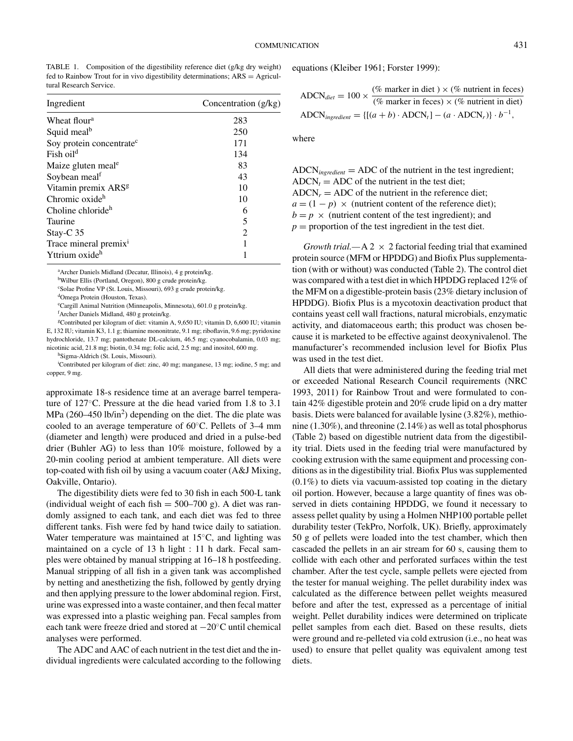TABLE 1. Composition of the digestibility reference diet (g/kg dry weight) fed to Rainbow Trout for in vivo digestibility determinations; ARS = Agricultural Research Service.

| Ingredient                           | Concentration $(g/kg)$      |
|--------------------------------------|-----------------------------|
| Wheat flour <sup>a</sup>             | 283                         |
| Squid meal <sup>b</sup>              | 250                         |
| Soy protein concentrate <sup>c</sup> | 171                         |
| $Fish$ oil <sup>d</sup>              | 134                         |
| Maize gluten meal <sup>e</sup>       | 83                          |
| Soybean meal <sup>f</sup>            | 43                          |
| Vitamin premix ARS <sup>g</sup>      | 10                          |
| Chromic oxide <sup>h</sup>           | 10                          |
| Choline chloride <sup>h</sup>        | 6                           |
| Taurine                              | 5                           |
| Stay-C $35$                          | $\mathcal{D}_{\mathcal{L}}$ |
| Trace mineral premix <sup>1</sup>    |                             |
| Yttrium oxide <sup>h</sup>           |                             |

a Archer Daniels Midland (Decatur, Illinois), 4 g protein/kg.

b Wilbur Ellis (Portland, Oregon), 800 g crude protein/kg.

c Solae Profine VP (St. Louis, Missouri), 693 g crude protein/kg.

d Omega Protein (Houston, Texas).

e Cargill Animal Nutrition (Minneapolis, Minnesota), 601.0 g protein/kg.

f Archer Daniels Midland, 480 g protein/kg.

g Contributed per kilogram of diet: vitamin A, 9,650 IU; vitamin D, 6,600 IU; vitamin E, 132 IU; vitamin K3, 1.1 g; thiamine mononitrate, 9.1 mg; riboflavin, 9.6 mg; pyridoxine hydrochloride, 13.7 mg; pantothenate DL-calcium, 46.5 mg; cyanocobalamin, 0.03 mg; nicotinic acid, 21.8 mg; biotin, 0.34 mg; folic acid, 2.5 mg; and inositol, 600 mg.

h Sigma-Aldrich (St. Louis, Missouri).

i Contributed per kilogram of diet: zinc, 40 mg; manganese, 13 mg; iodine, 5 mg; and copper, 9 mg.

approximate 18-s residence time at an average barrel temperature of 127◦C. Pressure at the die head varied from 1.8 to 3.1 MPa  $(260-450 \text{ lb/in}^2)$  depending on the diet. The die plate was cooled to an average temperature of 60◦C. Pellets of 3–4 mm (diameter and length) were produced and dried in a pulse-bed drier (Buhler AG) to less than 10% moisture, followed by a 20-min cooling period at ambient temperature. All diets were top-coated with fish oil by using a vacuum coater (A&J Mixing, Oakville, Ontario).

The digestibility diets were fed to 30 fish in each 500-L tank (individual weight of each fish  $= 500-700$  g). A diet was randomly assigned to each tank, and each diet was fed to three different tanks. Fish were fed by hand twice daily to satiation. Water temperature was maintained at 15◦C, and lighting was maintained on a cycle of 13 h light : 11 h dark. Fecal samples were obtained by manual stripping at 16–18 h postfeeding. Manual stripping of all fish in a given tank was accomplished by netting and anesthetizing the fish, followed by gently drying and then applying pressure to the lower abdominal region. First, urine was expressed into a waste container, and then fecal matter was expressed into a plastic weighing pan. Fecal samples from each tank were freeze dried and stored at −20◦C until chemical analyses were performed.

The ADC and AAC of each nutrient in the test diet and the individual ingredients were calculated according to the following equations (Kleiber 1961; Forster 1999):

$$
ADCN_{diet} = 100 \times \frac{(\% \text{ marker in diet}) \times (\% \text{ nutrient in feces})}{(\% \text{ marker in feces}) \times (\% \text{ nutrient in diet})}
$$

$$
ADCN_{ingregation} = \{[(a+b) \cdot ADCN_t] - (a \cdot ADCN_r)\} \cdot b^{-1},
$$

where

ADCN*ingredient* = ADC of the nutrient in the test ingredient;  $ADCN_t = ADC$  of the nutrient in the test diet;  $ADCN_r = ADC$  of the nutrient in the reference diet;  $a = (1 - p) \times$  (nutrient content of the reference diet);  $b = p \times$  (nutrient content of the test ingredient); and  $p =$  proportion of the test ingredient in the test diet.

*Growth trial.*—A 2  $\times$  2 factorial feeding trial that examined protein source (MFM or HPDDG) and Biofix Plus supplementation (with or without) was conducted (Table 2). The control diet was compared with a test diet in which HPDDG replaced 12% of the MFM on a digestible-protein basis (23% dietary inclusion of HPDDG). Biofix Plus is a mycotoxin deactivation product that contains yeast cell wall fractions, natural microbials, enzymatic activity, and diatomaceous earth; this product was chosen because it is marketed to be effective against deoxynivalenol. The manufacturer's recommended inclusion level for Biofix Plus was used in the test diet.

All diets that were administered during the feeding trial met or exceeded National Research Council requirements (NRC 1993, 2011) for Rainbow Trout and were formulated to contain 42% digestible protein and 20% crude lipid on a dry matter basis. Diets were balanced for available lysine (3.82%), methionine (1.30%), and threonine (2.14%) as well as total phosphorus (Table 2) based on digestible nutrient data from the digestibility trial. Diets used in the feeding trial were manufactured by cooking extrusion with the same equipment and processing conditions as in the digestibility trial. Biofix Plus was supplemented  $(0.1\%)$  to diets via vacuum-assisted top coating in the dietary oil portion. However, because a large quantity of fines was observed in diets containing HPDDG, we found it necessary to assess pellet quality by using a Holmen NHP100 portable pellet durability tester (TekPro, Norfolk, UK). Briefly, approximately 50 g of pellets were loaded into the test chamber, which then cascaded the pellets in an air stream for 60 s, causing them to collide with each other and perforated surfaces within the test chamber. After the test cycle, sample pellets were ejected from the tester for manual weighing. The pellet durability index was calculated as the difference between pellet weights measured before and after the test, expressed as a percentage of initial weight. Pellet durability indices were determined on triplicate pellet samples from each diet. Based on these results, diets were ground and re-pelleted via cold extrusion (i.e., no heat was used) to ensure that pellet quality was equivalent among test diets.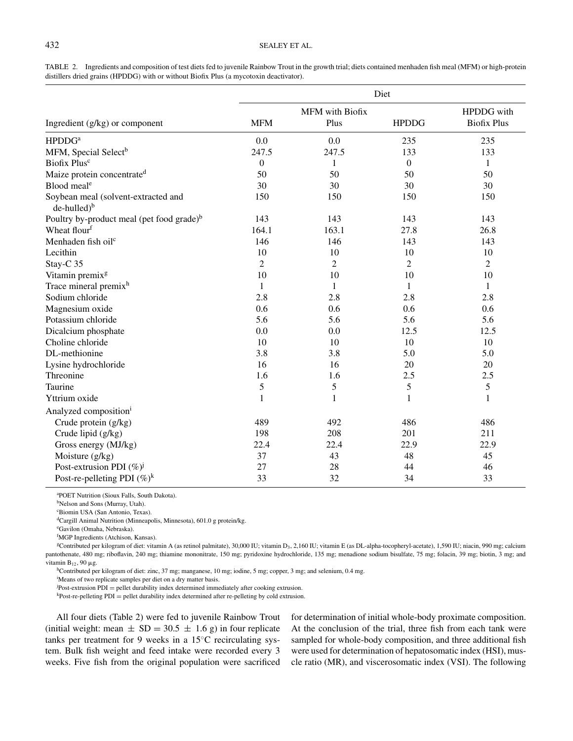| TABLE 2. Ingredients and composition of test diets fed to juvenile Rainbow Trout in the growth trial; diets contained menhaden fish meal (MFM) or high-protein |
|----------------------------------------------------------------------------------------------------------------------------------------------------------------|
| distillers dried grains (HPDDG) with or without Biofix Plus (a mycotoxin deactivator).                                                                         |

|                                                          | Diet           |                 |              |                    |  |
|----------------------------------------------------------|----------------|-----------------|--------------|--------------------|--|
|                                                          |                | MFM with Biofix |              | <b>HPDDG</b> with  |  |
| Ingredient $(g/kg)$ or component                         | <b>MFM</b>     | Plus            | <b>HPDDG</b> | <b>Biofix Plus</b> |  |
| <b>HPDDG</b> <sup>a</sup>                                | 0.0            | 0.0             | 235          | 235                |  |
| MFM, Special Select <sup>b</sup>                         | 247.5          | 247.5           | 133          | 133                |  |
| Biofix Plus <sup>c</sup>                                 | $\overline{0}$ | 1               | $\Omega$     | 1                  |  |
| Maize protein concentrate <sup>d</sup>                   | 50             | 50              | 50           | 50                 |  |
| Blood meal <sup>e</sup>                                  | 30             | 30              | 30           | 30                 |  |
| Soybean meal (solvent-extracted and<br>$de$ -hulled) $b$ | 150            | 150             | 150          | 150                |  |
| Poultry by-product meal (pet food grade) <sup>b</sup>    | 143            | 143             | 143          | 143                |  |
| Wheat flourf                                             | 164.1          | 163.1           | 27.8         | 26.8               |  |
| Menhaden fish oil <sup>c</sup>                           | 146            | 146             | 143          | 143                |  |
| Lecithin                                                 | 10             | 10              | 10           | 10                 |  |
| Stay-C 35                                                | $\overline{2}$ | $\overline{2}$  | 2            | $\overline{2}$     |  |
| Vitamin premix <sup>g</sup>                              | 10             | 10              | 10           | 10                 |  |
| Trace mineral premix <sup>h</sup>                        | 1              | 1               | 1            | $\mathbf{1}$       |  |
| Sodium chloride                                          | 2.8            | 2.8             | 2.8          | 2.8                |  |
| Magnesium oxide                                          | 0.6            | 0.6             | 0.6          | 0.6                |  |
| Potassium chloride                                       | 5.6            | 5.6             | 5.6          | 5.6                |  |
| Dicalcium phosphate                                      | 0.0            | 0.0             | 12.5         | 12.5               |  |
| Choline chloride                                         | 10             | 10              | 10           | 10                 |  |
| DL-methionine                                            | 3.8            | 3.8             | 5.0          | 5.0                |  |
| Lysine hydrochloride                                     | 16             | 16              | 20           | 20                 |  |
| Threonine                                                | 1.6            | 1.6             | 2.5          | 2.5                |  |
| Taurine                                                  | 5              | 5               | $\sqrt{5}$   | 5                  |  |
| Yttrium oxide                                            | $\mathbf{1}$   | 1               | 1            | $\mathbf{1}$       |  |
| Analyzed composition <sup>i</sup>                        |                |                 |              |                    |  |
| Crude protein (g/kg)                                     | 489            | 492             | 486          | 486                |  |
| Crude lipid (g/kg)                                       | 198            | 208             | 201          | 211                |  |
| Gross energy (MJ/kg)                                     | 22.4           | 22.4            | 22.9         | 22.9               |  |
| Moisture (g/kg)                                          | 37             | 43              | 48           | 45                 |  |
| Post-extrusion PDI $(\%)^{j}$                            | 27             | 28              | 44           | 46                 |  |
| Post-re-pelleting PDI $(\%)^k$                           | 33             | 32              | 34           | 33                 |  |

a POET Nutrition (Sioux Falls, South Dakota).

<sup>b</sup>Nelson and Sons (Murray, Utah).

c Biomin USA (San Antonio, Texas).

dCargill Animal Nutrition (Minneapolis, Minnesota), 601.0 g protein/kg.

e Gavilon (Omaha, Nebraska).

f MGP Ingredients (Atchison, Kansas).

g Contributed per kilogram of diet: vitamin A (as retinol palmitate), 30,000 IU; vitamin D3, 2,160 IU; vitamin E (as DL-alpha-tocopheryl-acetate), 1,590 IU; niacin, 990 mg; calcium pantothenate, 480 mg; riboflavin, 240 mg; thiamine mononitrate, 150 mg; pyridoxine hydrochloride, 135 mg; menadione sodium bisulfate, 75 mg; folacin, 39 mg; biotin, 3 mg; and vitamin  $B_{12}$ , 90  $\mu$ g.

h Contributed per kilogram of diet: zinc, 37 mg; manganese, 10 mg; iodine, 5 mg; copper, 3 mg; and selenium, 0.4 mg.

Means of two replicate samples per diet on a dry matter basis.

Post-extrusion PDI = pellet durability index determined immediately after cooking extrusion.

 $k$ Post-re-pelleting PDI = pellet durability index determined after re-pelleting by cold extrusion.

All four diets (Table 2) were fed to juvenile Rainbow Trout (initial weight: mean  $\pm$  SD = 30.5  $\pm$  1.6 g) in four replicate tanks per treatment for 9 weeks in a 15◦C recirculating system. Bulk fish weight and feed intake were recorded every 3 weeks. Five fish from the original population were sacrificed

for determination of initial whole-body proximate composition. At the conclusion of the trial, three fish from each tank were sampled for whole-body composition, and three additional fish were used for determination of hepatosomatic index (HSI), muscle ratio (MR), and viscerosomatic index (VSI). The following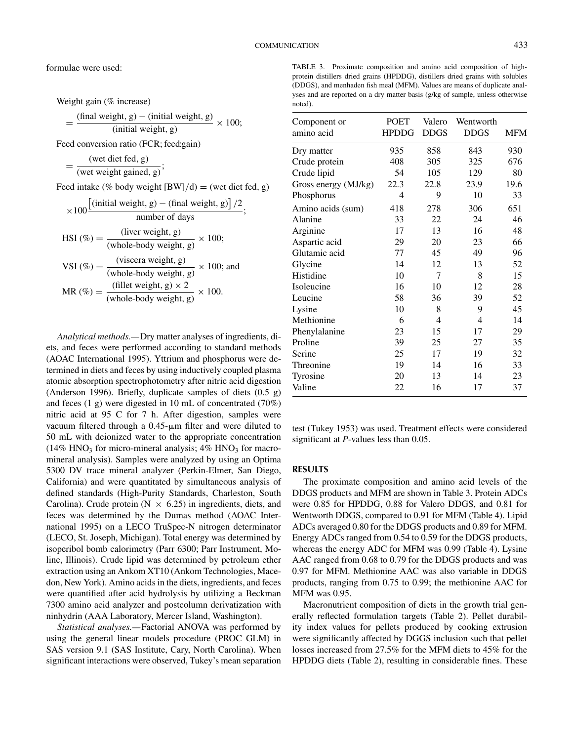formulae were used:

| $(\text{final weight}, g) - (\text{initial weight}, g)$ | $\times$ 100; |
|---------------------------------------------------------|---------------|
| (initial weight, g)                                     |               |

Feed conversion ratio (FCR; feed:gain)

$$
= \frac{\text{(wet diet fed, g)}}{\text{(wet weight gained, g)}};
$$

Weight gain (% increase)

Feed intake (% body weight [BW]*/*d) = (wet diet fed*,* g)

×100 
$$
\frac{\text{[(initial weight, g) - (final weight, g)]}/2}{\text{number of days}};
$$
HSI ( $\%$ ) = 
$$
\frac{\text{(liver weight, g)}}{\text{(whole-body weight, g)}} \times 100;
$$
VSI ( $\%$ ) = 
$$
\frac{\text{(viscera weight, g)}}{\text{(whole-body weight, g)}} \times 100;
$$
and MR ( $\%$ ) = 
$$
\frac{\text{(filled weight, g)} \times 2}{\text{(whole-body weight, g)}} \times 100.
$$

*Analytical methods.—*Dry matter analyses of ingredients, diets, and feces were performed according to standard methods (AOAC International 1995). Yttrium and phosphorus were determined in diets and feces by using inductively coupled plasma atomic absorption spectrophotometry after nitric acid digestion (Anderson 1996). Briefly, duplicate samples of diets (0.5 g) and feces (1 g) were digested in 10 mL of concentrated (70%) nitric acid at 95 C for 7 h. After digestion, samples were vacuum filtered through a 0.45-µm filter and were diluted to 50 mL with deionized water to the appropriate concentration  $(14\%$  HNO<sub>3</sub> for micro-mineral analysis;  $4\%$  HNO<sub>3</sub> for macromineral analysis). Samples were analyzed by using an Optima 5300 DV trace mineral analyzer (Perkin-Elmer, San Diego, California) and were quantitated by simultaneous analysis of defined standards (High-Purity Standards, Charleston, South Carolina). Crude protein ( $N \times 6.25$ ) in ingredients, diets, and feces was determined by the Dumas method (AOAC International 1995) on a LECO TruSpec-N nitrogen determinator (LECO, St. Joseph, Michigan). Total energy was determined by isoperibol bomb calorimetry (Parr 6300; Parr Instrument, Moline, Illinois). Crude lipid was determined by petroleum ether extraction using an Ankom XT10 (Ankom Technologies, Macedon, New York). Amino acids in the diets, ingredients, and feces were quantified after acid hydrolysis by utilizing a Beckman 7300 amino acid analyzer and postcolumn derivatization with ninhydrin (AAA Laboratory, Mercer Island, Washington).

*Statistical analyses.—*Factorial ANOVA was performed by using the general linear models procedure (PROC GLM) in SAS version 9.1 (SAS Institute, Cary, North Carolina). When significant interactions were observed, Tukey's mean separation

TABLE 3. Proximate composition and amino acid composition of highprotein distillers dried grains (HPDDG), distillers dried grains with solubles (DDGS), and menhaden fish meal (MFM). Values are means of duplicate analyses and are reported on a dry matter basis (g/kg of sample, unless otherwise noted).

| Component or<br>amino acid | <b>POET</b><br><b>HPDDG</b> | Valero<br><b>DDGS</b> | Wentworth<br><b>DDGS</b> | <b>MFM</b> |
|----------------------------|-----------------------------|-----------------------|--------------------------|------------|
| Dry matter                 | 935                         | 858                   | 843                      | 930        |
| Crude protein              | 408                         | 305                   | 325                      | 676        |
| Crude lipid                | 54                          | 105                   | 129                      | 80         |
| Gross energy (MJ/kg)       | 22.3                        | 22.8                  | 23.9                     | 19.6       |
| Phosphorus                 | 4                           | 9                     | 10                       | 33         |
| Amino acids (sum)          | 418                         | 278                   | 306                      | 651        |
| Alanine                    | 33                          | 22                    | 24                       | 46         |
| Arginine                   | 17                          | 13                    | 16                       | 48         |
| Aspartic acid              | 29                          | 20                    | 23                       | 66         |
| Glutamic acid              | 77                          | 45                    | 49                       | 96         |
| Glycine                    | 14                          | 12                    | 13                       | 52         |
| Histidine                  | 10                          | 7                     | 8                        | 15         |
| Isoleucine                 | 16                          | 10                    | 12                       | 28         |
| Leucine                    | 58                          | 36                    | 39                       | 52         |
| Lysine                     | 10                          | 8                     | 9                        | 45         |
| Methionine                 | 6                           | $\overline{4}$        | 4                        | 14         |
| Phenylalanine              | 23                          | 15                    | 17                       | 29         |
| Proline                    | 39                          | 25                    | 27                       | 35         |
| Serine                     | 25                          | 17                    | 19                       | 32         |
| Threonine                  | 19                          | 14                    | 16                       | 33         |
| Tyrosine                   | 20                          | 13                    | 14                       | 23         |
| Valine                     | 22                          | 16                    | 17                       | 37         |

test (Tukey 1953) was used. Treatment effects were considered significant at *P*-values less than 0.05.

#### **RESULTS**

The proximate composition and amino acid levels of the DDGS products and MFM are shown in Table 3. Protein ADCs were 0.85 for HPDDG, 0.88 for Valero DDGS, and 0.81 for Wentworth DDGS, compared to 0.91 for MFM (Table 4). Lipid ADCs averaged 0.80 for the DDGS products and 0.89 for MFM. Energy ADCs ranged from 0.54 to 0.59 for the DDGS products, whereas the energy ADC for MFM was 0.99 (Table 4). Lysine AAC ranged from 0.68 to 0.79 for the DDGS products and was 0.97 for MFM. Methionine AAC was also variable in DDGS products, ranging from 0.75 to 0.99; the methionine AAC for MFM was 0.95.

Macronutrient composition of diets in the growth trial generally reflected formulation targets (Table 2). Pellet durability index values for pellets produced by cooking extrusion were significantly affected by DGGS inclusion such that pellet losses increased from 27.5% for the MFM diets to 45% for the HPDDG diets (Table 2), resulting in considerable fines. These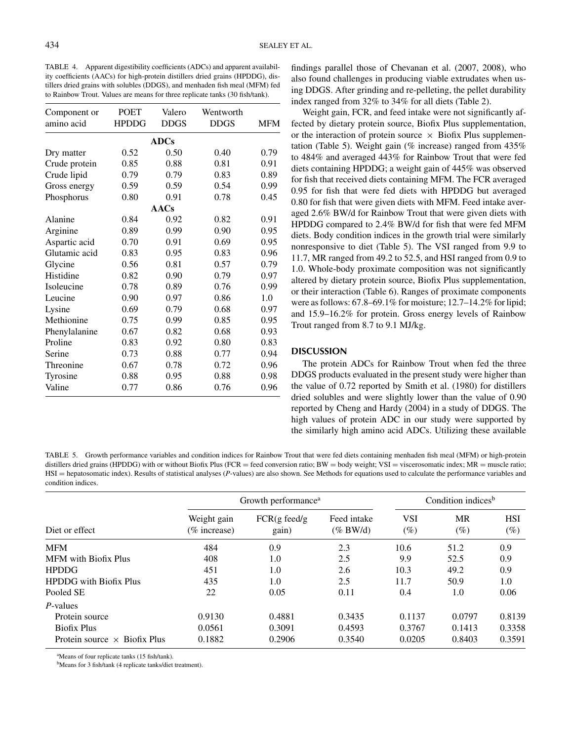TABLE 4. Apparent digestibility coefficients (ADCs) and apparent availability coefficients (AACs) for high-protein distillers dried grains (HPDDG), distillers dried grains with solubles (DDGS), and menhaden fish meal (MFM) fed to Rainbow Trout. Values are means for three replicate tanks (30 fish/tank).

| Component or<br>amino acid | <b>POET</b><br><b>HPDDG</b> | Valero<br><b>DDGS</b> | Wentworth<br><b>DDGS</b> | <b>MFM</b> |
|----------------------------|-----------------------------|-----------------------|--------------------------|------------|
|                            |                             | <b>ADCs</b>           |                          |            |
| Dry matter                 | 0.52                        | 0.50                  | 0.40                     | 0.79       |
| Crude protein              | 0.85                        | 0.88                  | 0.81                     | 0.91       |
| Crude lipid                | 0.79                        | 0.79                  | 0.83                     | 0.89       |
| Gross energy               | 0.59                        | 0.59                  | 0.54                     | 0.99       |
| Phosphorus                 | 0.80                        | 0.91                  | 0.78                     | 0.45       |
|                            |                             | AACs                  |                          |            |
| Alanine                    | 0.84                        | 0.92                  | 0.82                     | 0.91       |
| Arginine                   | 0.89                        | 0.99                  | 0.90                     | 0.95       |
| Aspartic acid              | 0.70                        | 0.91                  | 0.69                     | 0.95       |
| Glutamic acid              | 0.83                        | 0.95                  | 0.83                     | 0.96       |
| Glycine                    | 0.56                        | 0.81                  | 0.57                     | 0.79       |
| Histidine                  | 0.82                        | 0.90                  | 0.79                     | 0.97       |
| Isoleucine                 | 0.78                        | 0.89                  | 0.76                     | 0.99       |
| Leucine                    | 0.90                        | 0.97                  | 0.86                     | 1.0        |
| Lysine                     | 0.69                        | 0.79                  | 0.68                     | 0.97       |
| Methionine                 | 0.75                        | 0.99                  | 0.85                     | 0.95       |
| Phenylalanine              | 0.67                        | 0.82                  | 0.68                     | 0.93       |
| Proline                    | 0.83                        | 0.92                  | 0.80                     | 0.83       |
| Serine                     | 0.73                        | 0.88                  | 0.77                     | 0.94       |
| Threonine                  | 0.67                        | 0.78                  | 0.72                     | 0.96       |
| Tyrosine                   | 0.88                        | 0.95                  | 0.88                     | 0.98       |
| Valine                     | 0.77                        | 0.86                  | 0.76                     | 0.96       |

findings parallel those of Chevanan et al. (2007, 2008), who also found challenges in producing viable extrudates when using DDGS. After grinding and re-pelleting, the pellet durability index ranged from 32% to 34% for all diets (Table 2).

Weight gain, FCR, and feed intake were not significantly affected by dietary protein source, Biofix Plus supplementation, or the interaction of protein source  $\times$  Biofix Plus supplementation (Table 5). Weight gain (% increase) ranged from 435% to 484% and averaged 443% for Rainbow Trout that were fed diets containing HPDDG; a weight gain of 445% was observed for fish that received diets containing MFM. The FCR averaged 0.95 for fish that were fed diets with HPDDG but averaged 0.80 for fish that were given diets with MFM. Feed intake averaged 2.6% BW/d for Rainbow Trout that were given diets with HPDDG compared to 2.4% BW/d for fish that were fed MFM diets. Body condition indices in the growth trial were similarly nonresponsive to diet (Table 5). The VSI ranged from 9.9 to 11.7, MR ranged from 49.2 to 52.5, and HSI ranged from 0.9 to 1.0. Whole-body proximate composition was not significantly altered by dietary protein source, Biofix Plus supplementation, or their interaction (Table 6). Ranges of proximate components were as follows: 67.8–69.1% for moisture; 12.7–14.2% for lipid; and 15.9–16.2% for protein. Gross energy levels of Rainbow Trout ranged from 8.7 to 9.1 MJ/kg.

#### **DISCUSSION**

The protein ADCs for Rainbow Trout when fed the three DDGS products evaluated in the present study were higher than the value of 0.72 reported by Smith et al. (1980) for distillers dried solubles and were slightly lower than the value of 0.90 reported by Cheng and Hardy (2004) in a study of DDGS. The high values of protein ADC in our study were supported by the similarly high amino acid ADCs. Utilizing these available

TABLE 5. Growth performance variables and condition indices for Rainbow Trout that were fed diets containing menhaden fish meal (MFM) or high-protein distillers dried grains (HPDDG) with or without Biofix Plus (FCR = feed conversion ratio; BW = body weight; VSI = viscerosomatic index;  $MR$  = muscle ratio; HSI = hepatosomatic index). Results of statistical analyses (*P*-values) are also shown. See Methods for equations used to calculate the performance variables and condition indices.

|                                     | Growth performance <sup>a</sup> |                         |                            | Condition indices <sup>b</sup> |                     |                      |
|-------------------------------------|---------------------------------|-------------------------|----------------------------|--------------------------------|---------------------|----------------------|
| Diet or effect                      | Weight gain<br>$(\%$ increase)  | $FCR(g$ feed/g<br>gain) | Feed intake<br>$(\%$ BW/d) | <b>VSI</b><br>$(\%)$           | <b>MR</b><br>$(\%)$ | <b>HSI</b><br>$(\%)$ |
| <b>MFM</b>                          | 484                             | 0.9                     | 2.3                        | 10.6                           | 51.2                | 0.9                  |
| <b>MFM</b> with Biofix Plus         | 408                             | 1.0                     | 2.5                        | 9.9                            | 52.5                | 0.9                  |
| <b>HPDDG</b>                        | 451                             | 1.0                     | 2.6                        | 10.3                           | 49.2                | 0.9                  |
| <b>HPDDG</b> with Biofix Plus       | 435                             | 1.0                     | 2.5                        | 11.7                           | 50.9                | 1.0                  |
| Pooled SE                           | 22                              | 0.05                    | 0.11                       | 0.4                            | 1.0                 | 0.06                 |
| <i>P</i> -values                    |                                 |                         |                            |                                |                     |                      |
| Protein source                      | 0.9130                          | 0.4881                  | 0.3435                     | 0.1137                         | 0.0797              | 0.8139               |
| <b>Biofix Plus</b>                  | 0.0561                          | 0.3091                  | 0.4593                     | 0.3767                         | 0.1413              | 0.3358               |
| Protein source $\times$ Biofix Plus | 0.1882                          | 0.2906                  | 0.3540                     | 0.0205                         | 0.8403              | 0.3591               |

a Means of four replicate tanks (15 fish/tank).

<sup>b</sup>Means for 3 fish/tank (4 replicate tanks/diet treatment).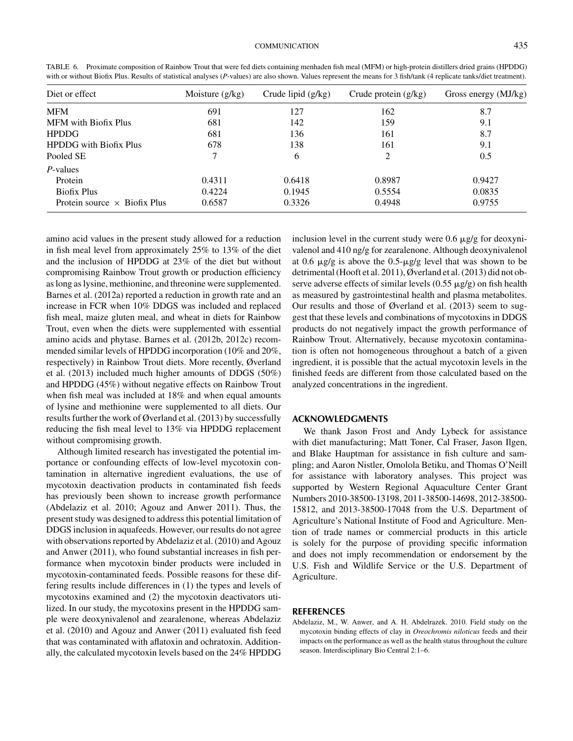| Diet or effect                      | Moisture $(g/kg)$ | Crude lipid $(g/kg)$ | Crude protein $(g/kg)$ | Gross energy (MJ/kg) |
|-------------------------------------|-------------------|----------------------|------------------------|----------------------|
| <b>MFM</b>                          | 691               | 127                  | 162                    | 8.7                  |
| <b>MFM</b> with Biofix Plus         | 681               | 142                  | 159                    | 9.1                  |
| <b>HPDDG</b>                        | 681               | 136                  | 161                    | 8.7                  |
| <b>HPDDG</b> with Biofix Plus       | 678               | 138                  | 161                    | 9.1                  |
| Pooled SE                           |                   | 6                    |                        | 0.5                  |
| <i>P</i> -values                    |                   |                      |                        |                      |
| Protein                             | 0.4311            | 0.6418               | 0.8987                 | 0.9427               |
| <b>Biofix Plus</b>                  | 0.4224            | 0.1945               | 0.5554                 | 0.0835               |
| Protein source $\times$ Biofix Plus | 0.6587            | 0.3326               | 0.4948                 | 0.9755               |

TABLE 6. Proximate composition of Rainbow Trout that were fed diets containing menhaden fish meal (MFM) or high-protein distillers dried grains (HPDDG) with or without Biofix Plus. Results of statistical analyses (*P*-values) are also shown. Values represent the means for 3 fish/tank (4 replicate tanks/diet treatment).

amino acid values in the present study allowed for a reduction in fish meal level from approximately 25% to 13% of the diet and the inclusion of HPDDG at 23% of the diet but without compromising Rainbow Trout growth or production efficiency as long as lysine, methionine, and threonine were supplemented. Barnes et al. (2012a) reported a reduction in growth rate and an increase in FCR when 10% DDGS was included and replaced fish meal, maize gluten meal, and wheat in diets for Rainbow Trout, even when the diets were supplemented with essential amino acids and phytase. Barnes et al. (2012b, 2012c) recommended similar levels of HPDDG incorporation (10% and 20%, respectively) in Rainbow Trout diets. More recently, Øverland et al. (2013) included much higher amounts of DDGS (50%) and HPDDG (45%) without negative effects on Rainbow Trout when fish meal was included at 18% and when equal amounts of lysine and methionine were supplemented to all diets. Our results further the work of Øverland et al. (2013) by successfully reducing the fish meal level to 13% via HPDDG replacement without compromising growth.

Although limited research has investigated the potential importance or confounding effects of low-level mycotoxin contamination in alternative ingredient evaluations, the use of mycotoxin deactivation products in contaminated fish feeds has previously been shown to increase growth performance (Abdelaziz et al. 2010; Agouz and Anwer 2011). Thus, the present study was designed to address this potential limitation of DDGS inclusion in aquafeeds. However, our results do not agree with observations reported by Abdelaziz et al. (2010) and Agouz and Anwer (2011), who found substantial increases in fish performance when mycotoxin binder products were included in mycotoxin-contaminated feeds. Possible reasons for these differing results include differences in (1) the types and levels of mycotoxins examined and (2) the mycotoxin deactivators utilized. In our study, the mycotoxins present in the HPDDG sample were deoxynivalenol and zearalenone, whereas Abdelaziz et al. (2010) and Agouz and Anwer (2011) evaluated fish feed that was contaminated with aflatoxin and ochratoxin. Additionally, the calculated mycotoxin levels based on the 24% HPDDG

inclusion level in the current study were  $0.6 \mu g/g$  for deoxynivalenol and 410 ng/g for zearalenone. Although deoxynivalenol at 0.6  $\mu$ g/g is above the 0.5- $\mu$ g/g level that was shown to be detrimental (Hooft et al. 2011), Øverland et al. (2013) did not observe adverse effects of similar levels  $(0.55 \ \mu g/g)$  on fish health as measured by gastrointestinal health and plasma metabolites. Our results and those of Øverland et al. (2013) seem to suggest that these levels and combinations of mycotoxins in DDGS products do not negatively impact the growth performance of Rainbow Trout. Alternatively, because mycotoxin contamination is often not homogeneous throughout a batch of a given ingredient, it is possible that the actual mycotoxin levels in the finished feeds are different from those calculated based on the analyzed concentrations in the ingredient.

#### **ACKNOWLEDGMENTS**

We thank Jason Frost and Andy Lybeck for assistance with diet manufacturing; Matt Toner, Cal Fraser, Jason Ilgen, and Blake Hauptman for assistance in fish culture and sampling; and Aaron Nistler, Omolola Betiku, and Thomas O'Neill for assistance with laboratory analyses. This project was supported by Western Regional Aquaculture Center Grant Numbers 2010-38500-13198, 2011-38500-14698, 2012-38500- 15812, and 2013-38500-17048 from the U.S. Department of Agriculture's National Institute of Food and Agriculture. Mention of trade names or commercial products in this article is solely for the purpose of providing specific information and does not imply recommendation or endorsement by the U.S. Fish and Wildlife Service or the U.S. Department of Agriculture.

#### **REFERENCES**

Abdelaziz, M., W. Anwer, and A. H. Abdelrazek. 2010. Field study on the mycotoxin binding effects of clay in *Oreochromis niloticus* feeds and their impacts on the performance as well as the health status throughout the culture season. Interdisciplinary Bio Central 2:1–6.